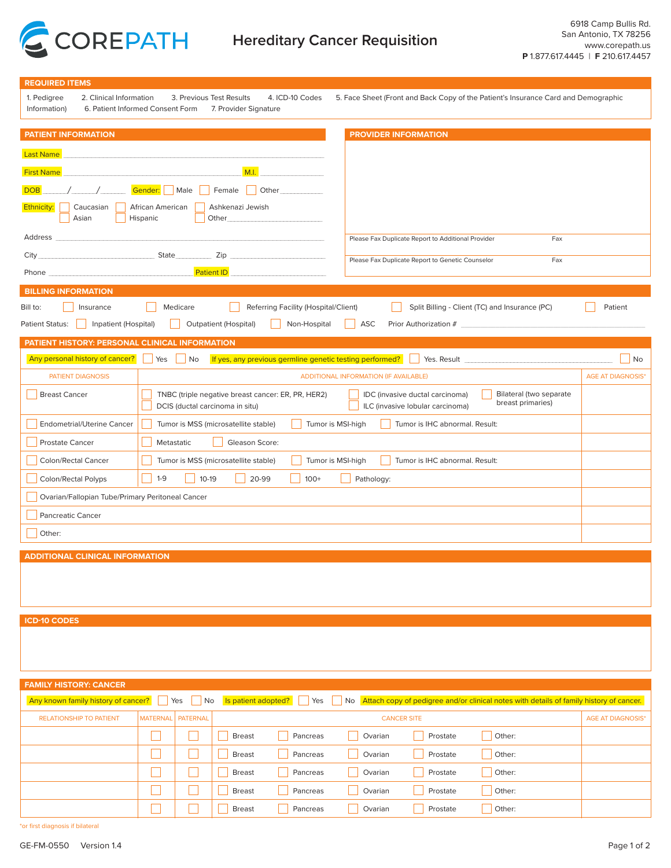

| <b>REQUIRED ITEMS</b>                                                                                                                                                                                                                                    |                                                                                                                                                                                                                                                                        |                          |  |  |
|----------------------------------------------------------------------------------------------------------------------------------------------------------------------------------------------------------------------------------------------------------|------------------------------------------------------------------------------------------------------------------------------------------------------------------------------------------------------------------------------------------------------------------------|--------------------------|--|--|
| 2. Clinical Information<br>3. Previous Test Results<br>4. ICD-10 Codes<br>5. Face Sheet (Front and Back Copy of the Patient's Insurance Card and Demographic<br>1. Pedigree<br>6. Patient Informed Consent Form<br>7. Provider Signature<br>Information) |                                                                                                                                                                                                                                                                        |                          |  |  |
| <b>PATIENT INFORMATION</b>                                                                                                                                                                                                                               | <b>PROVIDER INFORMATION</b>                                                                                                                                                                                                                                            |                          |  |  |
|                                                                                                                                                                                                                                                          |                                                                                                                                                                                                                                                                        |                          |  |  |
| <b>Last Name</b>                                                                                                                                                                                                                                         |                                                                                                                                                                                                                                                                        |                          |  |  |
| <b>First Name</b>                                                                                                                                                                                                                                        | M.I.                                                                                                                                                                                                                                                                   |                          |  |  |
| Gender: Male<br>Other<br><b>DOB</b><br>Female                                                                                                                                                                                                            |                                                                                                                                                                                                                                                                        |                          |  |  |
| Ethnicity:<br>Caucasian<br>Asian                                                                                                                                                                                                                         | African American<br>Ashkenazi Jewish<br>Hispanic<br>Other                                                                                                                                                                                                              |                          |  |  |
| Address<br>the control of the control of the control of the                                                                                                                                                                                              | Please Fax Duplicate Report to Additional Provider<br>Fax                                                                                                                                                                                                              |                          |  |  |
|                                                                                                                                                                                                                                                          | State Zip<br>Please Fax Duplicate Report to Genetic Counselor<br>Fax                                                                                                                                                                                                   |                          |  |  |
| Phone experience and the state of the state of the state of the state of the state of the state of the state of the state of the state of the state of the state of the state of the state of the state of the state of the st                           | <b>Patient ID Example 20</b>                                                                                                                                                                                                                                           |                          |  |  |
| <b>BILLING INFORMATION</b>                                                                                                                                                                                                                               |                                                                                                                                                                                                                                                                        |                          |  |  |
| Bill to:<br>Insurance                                                                                                                                                                                                                                    | Medicare<br>Split Billing - Client (TC) and Insurance (PC)<br>Referring Facility (Hospital/Client)                                                                                                                                                                     | Patient                  |  |  |
| Inpatient (Hospital)<br><b>Patient Status:</b>                                                                                                                                                                                                           | <b>Outpatient (Hospital)</b><br>ASC<br>Prior Authorization # 2008 2009 2010 2020 2021 2022 2023 2024 2022 2023 2024 2022 2023 2024 2022 2023 2024 20<br>Non-Hospital<br>- 1                                                                                            |                          |  |  |
| PATIENT HISTORY: PERSONAL CLINICAL INFORMATION                                                                                                                                                                                                           |                                                                                                                                                                                                                                                                        |                          |  |  |
| Any personal history of cancer?                                                                                                                                                                                                                          | If yes, any previous germline genetic testing performed? Ses. Result Sessential Communications of the set of the set of the set of the set of the set of the set of the set of the set of the set of the set of the set of the<br>  Yes<br>$\overline{\phantom{a}}$ No | No                       |  |  |
| <b>PATIENT DIAGNOSIS</b>                                                                                                                                                                                                                                 | <b>ADDITIONAL INFORMATION (IF AVAILABLE)</b>                                                                                                                                                                                                                           | <b>AGE AT DIAGNOSIS*</b> |  |  |
| <b>Breast Cancer</b>                                                                                                                                                                                                                                     | Bilateral (two separate<br>TNBC (triple negative breast cancer: ER, PR, HER2)<br>IDC (invasive ductal carcinoma)<br>breast primaries)<br>DCIS (ductal carcinoma in situ)<br>ILC (invasive lobular carcinoma)                                                           |                          |  |  |
| Endometrial/Uterine Cancer                                                                                                                                                                                                                               | Tumor is MSS (microsatellite stable)<br>Tumor is MSI-high<br>Tumor is IHC abnormal. Result:                                                                                                                                                                            |                          |  |  |
| Prostate Cancer                                                                                                                                                                                                                                          | Metastatic<br>Gleason Score:                                                                                                                                                                                                                                           |                          |  |  |
| Colon/Rectal Cancer                                                                                                                                                                                                                                      | Tumor is MSS (microsatellite stable)<br>Tumor is MSI-high<br>Tumor is IHC abnormal. Result:                                                                                                                                                                            |                          |  |  |
| $10-19$<br>$1 - 9$<br>20-99<br>Colon/Rectal Polyps<br>$100+$<br>Pathology:                                                                                                                                                                               |                                                                                                                                                                                                                                                                        |                          |  |  |
| Ovarian/Fallopian Tube/Primary Peritoneal Cancer                                                                                                                                                                                                         |                                                                                                                                                                                                                                                                        |                          |  |  |
| <b>Pancreatic Cancer</b>                                                                                                                                                                                                                                 |                                                                                                                                                                                                                                                                        |                          |  |  |
| Other:                                                                                                                                                                                                                                                   |                                                                                                                                                                                                                                                                        |                          |  |  |
|                                                                                                                                                                                                                                                          |                                                                                                                                                                                                                                                                        |                          |  |  |
| <b>ADDITIONAL CLINICAL INFORMATION</b>                                                                                                                                                                                                                   |                                                                                                                                                                                                                                                                        |                          |  |  |
|                                                                                                                                                                                                                                                          |                                                                                                                                                                                                                                                                        |                          |  |  |
|                                                                                                                                                                                                                                                          |                                                                                                                                                                                                                                                                        |                          |  |  |
| <b>ICD-10 CODES</b>                                                                                                                                                                                                                                      |                                                                                                                                                                                                                                                                        |                          |  |  |
|                                                                                                                                                                                                                                                          |                                                                                                                                                                                                                                                                        |                          |  |  |
|                                                                                                                                                                                                                                                          |                                                                                                                                                                                                                                                                        |                          |  |  |
|                                                                                                                                                                                                                                                          |                                                                                                                                                                                                                                                                        |                          |  |  |
| <b>FAMILY HISTORY: CANCER</b>                                                                                                                                                                                                                            |                                                                                                                                                                                                                                                                        |                          |  |  |
| Any known family history of cancer?                                                                                                                                                                                                                      | No Attach copy of pedigree and/or clinical notes with details of family history of cancer.<br>Yes<br>No<br>Is patient adopted?<br>Yes                                                                                                                                  |                          |  |  |
| <b>RELATIONSHIP TO PATIENT</b>                                                                                                                                                                                                                           | <b>MATERNAL</b><br><b>PATERNAL</b><br><b>CANCER SITE</b>                                                                                                                                                                                                               | <b>AGE AT DIAGNOSIS*</b> |  |  |
|                                                                                                                                                                                                                                                          | <b>Breast</b><br>Pancreas<br>Prostate<br>Other:<br>Ovarian                                                                                                                                                                                                             |                          |  |  |
|                                                                                                                                                                                                                                                          | ×<br>Pancreas<br>Prostate<br>Other:<br><b>Breast</b><br>Ovarian                                                                                                                                                                                                        |                          |  |  |
|                                                                                                                                                                                                                                                          | Pancreas<br>Prostate<br>Other:<br><b>Breast</b><br>Ovarian                                                                                                                                                                                                             |                          |  |  |
|                                                                                                                                                                                                                                                          | Pancreas<br>Prostate<br>Other:<br><b>Breast</b><br>Ovarian                                                                                                                                                                                                             |                          |  |  |
|                                                                                                                                                                                                                                                          | Pancreas<br>Prostate<br>Other:<br><b>Breast</b><br>Ovarian                                                                                                                                                                                                             |                          |  |  |
| *or first diagnosis if bilateral                                                                                                                                                                                                                         |                                                                                                                                                                                                                                                                        |                          |  |  |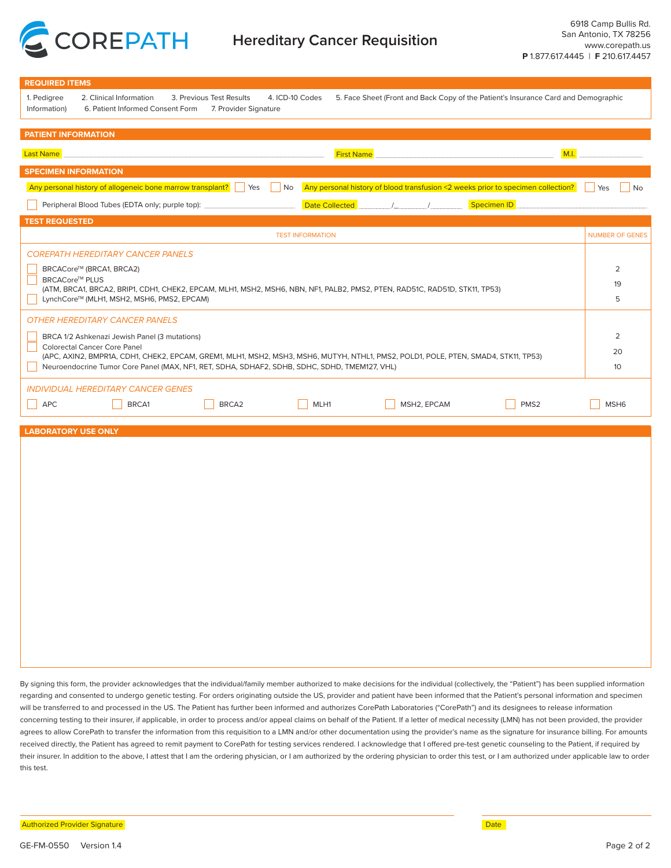

| <b>REQUIRED ITEMS</b>                                                                                                                                                                                                                                                                                                                                                                             |                        |  |  |  |  |
|---------------------------------------------------------------------------------------------------------------------------------------------------------------------------------------------------------------------------------------------------------------------------------------------------------------------------------------------------------------------------------------------------|------------------------|--|--|--|--|
| 5. Face Sheet (Front and Back Copy of the Patient's Insurance Card and Demographic<br>1. Pedigree<br>2. Clinical Information<br>3. Previous Test Results<br>4. ICD-10 Codes<br>Information)<br>6. Patient Informed Consent Form<br>7. Provider Signature                                                                                                                                          |                        |  |  |  |  |
| <b>PATIENT INFORMATION</b>                                                                                                                                                                                                                                                                                                                                                                        |                        |  |  |  |  |
| M.I.<br><b>Last Name</b><br><b>First Name</b>                                                                                                                                                                                                                                                                                                                                                     |                        |  |  |  |  |
| <b>SPECIMEN INFORMATION</b>                                                                                                                                                                                                                                                                                                                                                                       |                        |  |  |  |  |
| Any personal history of allogeneic bone marrow transplant?   Yes<br>Any personal history of blood transfusion <2 weeks prior to specimen collection?<br>$ $ No                                                                                                                                                                                                                                    | Yes<br><b>No</b>       |  |  |  |  |
| <b>Date Collected</b><br>Specimen ID<br>Peripheral Blood Tubes (EDTA only; purple top):                                                                                                                                                                                                                                                                                                           |                        |  |  |  |  |
| <b>TEST REQUESTED</b>                                                                                                                                                                                                                                                                                                                                                                             |                        |  |  |  |  |
| <b>TEST INFORMATION</b>                                                                                                                                                                                                                                                                                                                                                                           | <b>NUMBER OF GENES</b> |  |  |  |  |
| <b>COREPATH HEREDITARY CANCER PANELS</b>                                                                                                                                                                                                                                                                                                                                                          |                        |  |  |  |  |
| BRCACore™ (BRCA1, BRCA2)                                                                                                                                                                                                                                                                                                                                                                          | 2                      |  |  |  |  |
| <b>BRCACore™ PLUS</b><br>(ATM, BRCA1, BRCA2, BRIP1, CDH1, CHEK2, EPCAM, MLH1, MSH2, MSH6, NBN, NF1, PALB2, PMS2, PTEN, RAD51C, RAD51D, STK11, TP53)                                                                                                                                                                                                                                               | 19                     |  |  |  |  |
| LynchCore™ (MLH1, MSH2, MSH6, PMS2, EPCAM)                                                                                                                                                                                                                                                                                                                                                        | 5                      |  |  |  |  |
| <b>OTHER HEREDITARY CANCER PANELS</b>                                                                                                                                                                                                                                                                                                                                                             |                        |  |  |  |  |
| BRCA 1/2 Ashkenazi Jewish Panel (3 mutations)                                                                                                                                                                                                                                                                                                                                                     | 2                      |  |  |  |  |
| <b>Colorectal Cancer Core Panel</b>                                                                                                                                                                                                                                                                                                                                                               |                        |  |  |  |  |
| (APC, AXIN2, BMPR1A, CDH1, CHEK2, EPCAM, GREM1, MLH1, MSH2, MSH3, MSH6, MUTYH, NTHL1, PMS2, POLD1, POLE, PTEN, SMAD4, STK11, TP53)<br>Neuroendocrine Tumor Core Panel (MAX, NF1, RET, SDHA, SDHAF2, SDHB, SDHC, SDHD, TMEM127, VHL)                                                                                                                                                               | 10                     |  |  |  |  |
|                                                                                                                                                                                                                                                                                                                                                                                                   |                        |  |  |  |  |
| <b>INDIVIDUAL HEREDITARY CANCER GENES</b>                                                                                                                                                                                                                                                                                                                                                         |                        |  |  |  |  |
| <b>APC</b><br>BRCA1<br>BRCA2<br>MLH1<br>MSH2, EPCAM<br>PMS <sub>2</sub>                                                                                                                                                                                                                                                                                                                           | MSH <sub>6</sub>       |  |  |  |  |
| <b>LABORATORY USE ONLY</b>                                                                                                                                                                                                                                                                                                                                                                        |                        |  |  |  |  |
|                                                                                                                                                                                                                                                                                                                                                                                                   |                        |  |  |  |  |
|                                                                                                                                                                                                                                                                                                                                                                                                   |                        |  |  |  |  |
|                                                                                                                                                                                                                                                                                                                                                                                                   |                        |  |  |  |  |
|                                                                                                                                                                                                                                                                                                                                                                                                   |                        |  |  |  |  |
|                                                                                                                                                                                                                                                                                                                                                                                                   |                        |  |  |  |  |
|                                                                                                                                                                                                                                                                                                                                                                                                   |                        |  |  |  |  |
|                                                                                                                                                                                                                                                                                                                                                                                                   |                        |  |  |  |  |
|                                                                                                                                                                                                                                                                                                                                                                                                   |                        |  |  |  |  |
|                                                                                                                                                                                                                                                                                                                                                                                                   |                        |  |  |  |  |
|                                                                                                                                                                                                                                                                                                                                                                                                   |                        |  |  |  |  |
|                                                                                                                                                                                                                                                                                                                                                                                                   |                        |  |  |  |  |
|                                                                                                                                                                                                                                                                                                                                                                                                   |                        |  |  |  |  |
|                                                                                                                                                                                                                                                                                                                                                                                                   |                        |  |  |  |  |
|                                                                                                                                                                                                                                                                                                                                                                                                   |                        |  |  |  |  |
|                                                                                                                                                                                                                                                                                                                                                                                                   |                        |  |  |  |  |
| By signing this form, the provider acknowledges that the individual/family member authorized to make decisions for the individual (collectively, the "Patient") has been supplied information                                                                                                                                                                                                     |                        |  |  |  |  |
| regarding and consented to undergo genetic testing. For orders originating outside the US, provider and patient have been informed that the Patient's personal information and specimen                                                                                                                                                                                                           |                        |  |  |  |  |
| will be transferred to and processed in the US. The Patient has further been informed and authorizes CorePath Laboratories ("CorePath") and its designees to release information                                                                                                                                                                                                                  |                        |  |  |  |  |
| concerning testing to their insurer, if applicable, in order to process and/or appeal claims on behalf of the Patient. If a letter of medical necessity (LMN) has not been provided, the provider<br>agrees to allow CorePath to transfer the information from this requisition to a LMN and/or other documentation using the provider's name as the signature for insurance billing. For amounts |                        |  |  |  |  |
| received directly, the Patient has agreed to remit payment to CorePath for testing services rendered. I acknowledge that I offered pre-test genetic counseling to the Patient, if required by                                                                                                                                                                                                     |                        |  |  |  |  |

their insurer. In addition to the above, I attest that I am the ordering physician, or I am authorized by the ordering physician to order this test, or I am authorized under applicable law to order this test.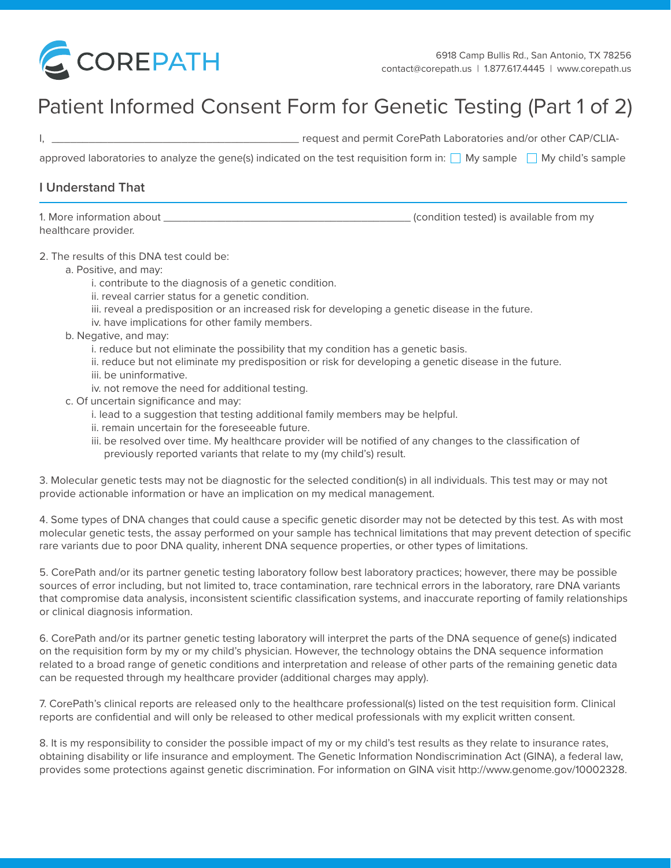

# Patient Informed Consent Form for Genetic Testing (Part 1 of 2)

I, \_\_\_\_\_\_\_\_\_\_\_\_\_\_\_\_\_\_\_\_\_\_\_\_\_\_\_\_\_\_\_\_\_\_\_\_\_\_\_\_ request and permit CorePath Laboratories and/or other CAP/CLIA-

approved laboratories to analyze the gene(s) indicated on the test requisition form in:  $\Box$  My sample  $\Box$  My child's sample

### **I Understand That**

| 1. More information about | (condition tested) is available from my |
|---------------------------|-----------------------------------------|
| healthcare provider.      |                                         |

#### 2. The results of this DNA test could be:

- a. Positive, and may:
	- i. contribute to the diagnosis of a genetic condition.
	- ii. reveal carrier status for a genetic condition.
	- iii. reveal a predisposition or an increased risk for developing a genetic disease in the future.
	- iv. have implications for other family members.
- b. Negative, and may:
	- i. reduce but not eliminate the possibility that my condition has a genetic basis.
	- ii. reduce but not eliminate my predisposition or risk for developing a genetic disease in the future. iii. be uninformative.
	- iv. not remove the need for additional testing.
- c. Of uncertain significance and may:
	- i. lead to a suggestion that testing additional family members may be helpful.
	- ii. remain uncertain for the foreseeable future.
	- iii. be resolved over time. My healthcare provider will be notified of any changes to the classification of previously reported variants that relate to my (my child's) result.

3. Molecular genetic tests may not be diagnostic for the selected condition(s) in all individuals. This test may or may not provide actionable information or have an implication on my medical management.

4. Some types of DNA changes that could cause a specific genetic disorder may not be detected by this test. As with most molecular genetic tests, the assay performed on your sample has technical limitations that may prevent detection of specific rare variants due to poor DNA quality, inherent DNA sequence properties, or other types of limitations.

5. CorePath and/or its partner genetic testing laboratory follow best laboratory practices; however, there may be possible sources of error including, but not limited to, trace contamination, rare technical errors in the laboratory, rare DNA variants that compromise data analysis, inconsistent scientific classification systems, and inaccurate reporting of family relationships or clinical diagnosis information.

6. CorePath and/or its partner genetic testing laboratory will interpret the parts of the DNA sequence of gene(s) indicated on the requisition form by my or my child's physician. However, the technology obtains the DNA sequence information related to a broad range of genetic conditions and interpretation and release of other parts of the remaining genetic data can be requested through my healthcare provider (additional charges may apply).

7. CorePath's clinical reports are released only to the healthcare professional(s) listed on the test requisition form. Clinical reports are confidential and will only be released to other medical professionals with my explicit written consent.

8. It is my responsibility to consider the possible impact of my or my child's test results as they relate to insurance rates, obtaining disability or life insurance and employment. The Genetic Information Nondiscrimination Act (GINA), a federal law, provides some protections against genetic discrimination. For information on GINA visit http://www.genome.gov/10002328.